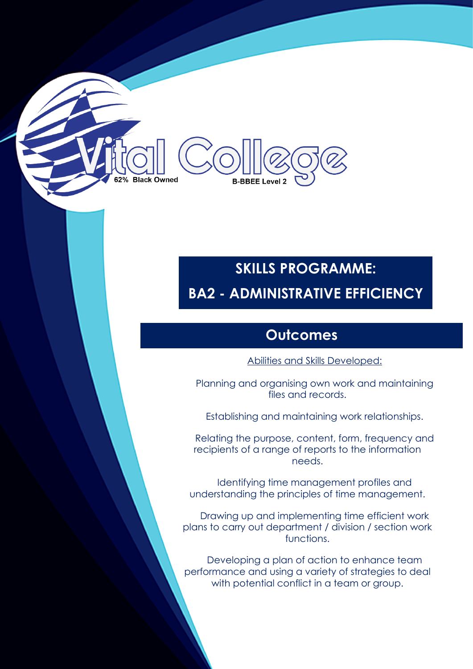# **Black Owned B-BBEE Level**

# **SKILLS PROGRAMME: BA2 - ADMINISTRATIVE EFFICIENCY**

### **Outcomes**

Abilities and Skills Developed:

Planning and organising own work and maintaining files and records.

Establishing and maintaining work relationships.

Relating the purpose, content, form, frequency and recipients of a range of reports to the information needs.

Identifying time management profiles and understanding the principles of time management.

Drawing up and implementing time efficient work plans to carry out department / division / section work functions.

Developing a plan of action to enhance team performance and using a variety of strategies to deal with potential conflict in a team or group.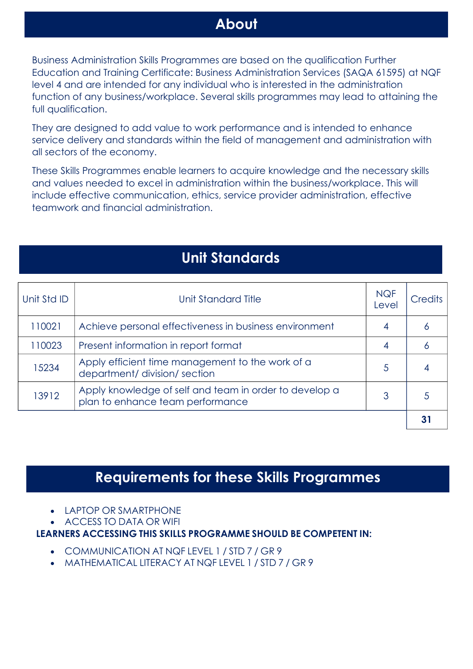### **About**

Business Administration Skills Programmes are based on the qualification Further Education and Training Certificate: Business Administration Services (SAQA 61595) at NQF level 4 and are intended for any individual who is interested in the administration function of any business/workplace. Several skills programmes may lead to attaining the full qualification.

They are designed to add value to work performance and is intended to enhance service delivery and standards within the field of management and administration with all sectors of the economy.

These Skills Programmes enable learners to acquire knowledge and the necessary skills and values needed to excel in administration within the business/workplace. This will include effective communication, ethics, service provider administration, effective teamwork and financial administration.

## **Unit Standards**

| Unit Std ID | Unit Standard Title                                                                        | <b>NQF</b><br>Level | <b>Credits</b> |
|-------------|--------------------------------------------------------------------------------------------|---------------------|----------------|
| 110021      | Achieve personal effectiveness in business environment                                     |                     | Ô              |
| 110023      | Present information in report format                                                       | 4                   | Ô              |
| 15234       | Apply efficient time management to the work of a<br>department/ division/ section          | 5                   |                |
| 13912       | Apply knowledge of self and team in order to develop a<br>plan to enhance team performance | 3                   |                |
|             |                                                                                            |                     |                |

### **Requirements for these Skills Programmes**

- LAPTOP OR SMARTPHONE
- ACCESS TO DATA OR WIFI

#### **LEARNERS ACCESSING THIS SKILLS PROGRAMME SHOULD BE COMPETENT IN:**

- COMMUNICATION AT NQF LEVEL 1 / STD 7 / GR 9
- MATHEMATICAL LITERACY AT NQF LEVEL 1 / STD 7 / GR 9